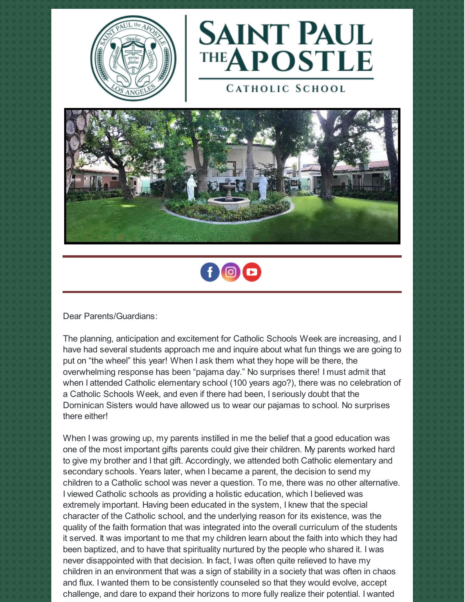



**CATHOLIC SCHOOL** 





Dear Parents/Guardians:

The planning, anticipation and excitement for Catholic Schools Week are increasing, and I have had several students approach me and inquire about what fun things we are going to put on "the wheel" this year! When I ask them what they hope will be there, the overwhelming response has been "pajama day." No surprises there! I must admit that when I attended Catholic elementary school (100 years ago?), there was no celebration of a Catholic Schools Week, and even if there had been, I seriously doubt that the Dominican Sisters would have allowed us to wear our pajamas to school. No surprises there either!

When I was growing up, my parents instilled in me the belief that a good education was one of the most important gifts parents could give their children. My parents worked hard to give my brother and I that gift. Accordingly, we attended both Catholic elementary and secondary schools. Years later, when I became a parent, the decision to send my children to a Catholic school was never a question. To me, there was no other alternative. I viewed Catholic schools as providing a holistic education, which I believed was extremely important. Having been educated in the system, I knew that the special character of the Catholic school, and the underlying reason for its existence, was the quality of the faith formation that was integrated into the overall curriculum of the students it served. It was important to me that my children learn about the faith into which they had been baptized, and to have that spirituality nurtured by the people who shared it. I was never disappointed with that decision. In fact, I was often quite relieved to have my children in an environment that was a sign of stability in a society that was often in chaos and flux. I wanted them to be consistently counseled so that they would evolve, accept challenge, and dare to expand their horizons to more fully realize their potential. I wanted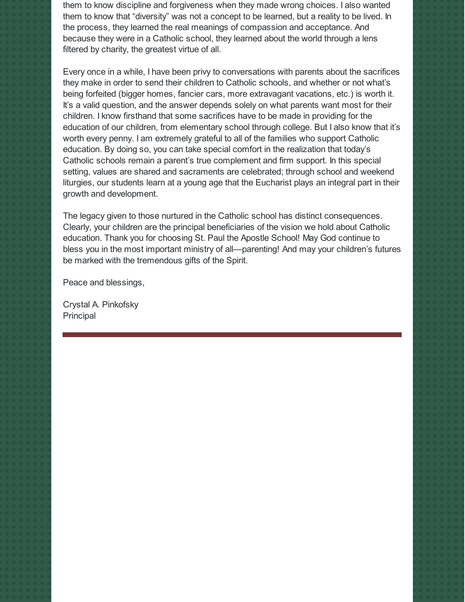them to know discipline and forgiveness when they made wrong choices. I also wanted them to know that "diversity" was not a concept to be learned, but a reality to be lived. In the process, they learned the real meanings of compassion and acceptance. And because they were in a Catholic school, they learned about the world through a lens filtered by charity, the greatest virtue of all.

Every once in a while, I have been privy to conversations with parents about the sacrifices they make in order to send their children to Catholic schools, and whether or not what's being forfeited (bigger homes, fancier cars, more extravagant vacations, etc.) is worth it. It's a valid question, and the answer depends solely on what parents want most for their children. I know firsthand that some sacrifices have to be made in providing for the education of our children, from elementary school through college. But I also know that it's worth every penny. I am extremely grateful to all of the families who support Catholic education. By doing so, you can take special comfort in the realization that today's Catholic schools remain a parent's true complement and firm support. In this special setting, values are shared and sacraments are celebrated; through school and weekend liturgies, our students learn at a young age that the Eucharist plays an integral part in their growth and development.

The legacy given to those nurtured in the Catholic school has distinct consequences. Clearly, your children are the principal beneficiaries of the vision we hold about Catholic education. Thank you for choosing St. Paul the Apostle School! May God continue to bless you in the most important ministry of all—parenting! And may your children's futures be marked with the tremendous gifts of the Spirit.

Peace and blessings,

Crystal A. Pinkofsky Principal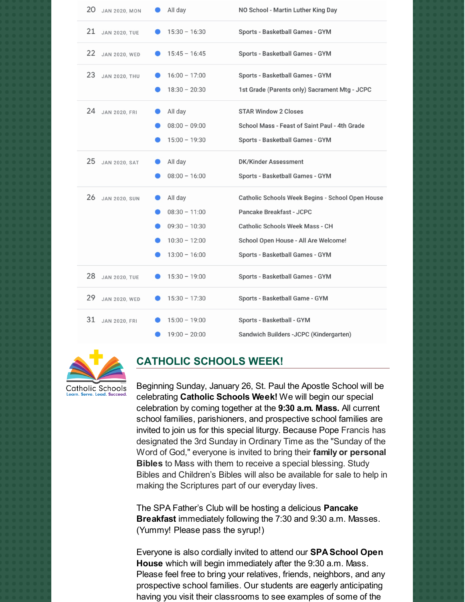| 20<br><b>JAN 2020, MON</b> | All day         | NO School - Martin Luther King Day               |
|----------------------------|-----------------|--------------------------------------------------|
| 21<br><b>JAN 2020, TUE</b> | $15:30 - 16:30$ | Sports - Basketball Games - GYM                  |
| 22<br>JAN 2020, WED        | $15:45 - 16:45$ | Sports - Basketball Games - GYM                  |
| 23<br><b>JAN 2020, THU</b> | $16:00 - 17:00$ | Sports - Basketball Games - GYM                  |
|                            | $18:30 - 20:30$ | 1st Grade (Parents only) Sacrament Mtg - JCPC    |
| 24<br><b>JAN 2020, FRI</b> | All day         | <b>STAR Window 2 Closes</b>                      |
|                            | $08:00 - 09:00$ | School Mass - Feast of Saint Paul - 4th Grade    |
|                            | $15:00 - 19:30$ | Sports - Basketball Games - GYM                  |
| 25<br><b>JAN 2020, SAT</b> | All day         | <b>DK/Kinder Assessment</b>                      |
|                            | $08:00 - 16:00$ | Sports - Basketball Games - GYM                  |
| 26<br><b>JAN 2020, SUN</b> | All day         | Catholic Schools Week Begins - School Open House |
|                            | $08:30 - 11:00$ | Pancake Breakfast - JCPC                         |
|                            | $09:30 - 10:30$ | <b>Catholic Schools Week Mass - CH</b>           |
|                            | $10:30 - 12:00$ | School Open House - All Are Welcome!             |
|                            | $13:00 - 16:00$ | Sports - Basketball Games - GYM                  |
| 28<br><b>JAN 2020, TUE</b> | $15:30 - 19:00$ | Sports - Basketball Games - GYM                  |
| 29<br><b>JAN 2020, WED</b> | $15:30 - 17:30$ | Sports - Basketball Game - GYM                   |
|                            |                 |                                                  |
| 31<br><b>JAN 2020, FRI</b> | $15:00 - 19:00$ | Sports - Basketball - GYM                        |



#### **CATHOLIC SCHOOLS WEEK!**

Beginning Sunday, January 26, St. Paul the Apostle School will be celebrating **Catholic Schools Week!** We will begin our special celebration by coming together at the **9:30 a.m. Mass.** All current school families, parishioners, and prospective school families are invited to join us for this special liturgy. Because Pope Francis has designated the 3rd Sunday in Ordinary Time as the "Sunday of the Word of God," everyone is invited to bring their **family or personal Bibles** to Mass with them to receive a special blessing. Study Bibles and Children's Bibles will also be available for sale to help in making the Scriptures part of our everyday lives.

The SPA Father's Club will be hosting a delicious **Pancake Breakfast** immediately following the 7:30 and 9:30 a.m. Masses. (Yummy! Please pass the syrup!)

Everyone is also cordially invited to attend our **SPA School Open House** which will begin immediately after the 9:30 a.m. Mass. Please feel free to bring your relatives, friends, neighbors, and any prospective school families. Our students are eagerly anticipating having you visit their classrooms to see examples of some of the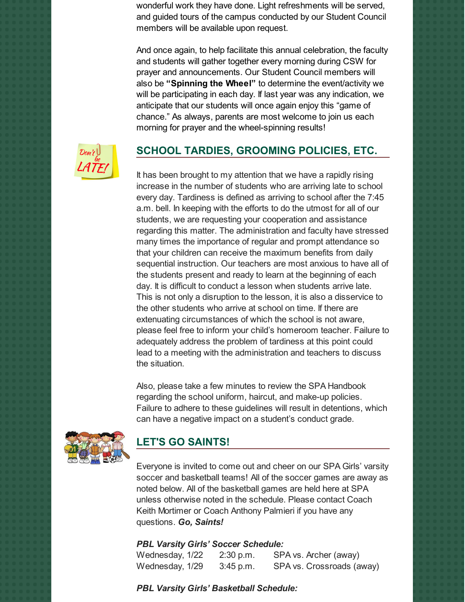wonderful work they have done. Light refreshments will be served, and guided tours of the campus conducted by our Student Council members will be available upon request.

And once again, to help facilitate this annual celebration, the faculty and students will gather together every morning during CSW for prayer and announcements. Our Student Council members will also be **"Spinning the Wheel"** to determine the event/activity we will be participating in each day. If last year was any indication, we anticipate that our students will once again enjoy this "game of chance." As always, parents are most welcome to join us each morning for prayer and the wheel-spinning results!



# **SCHOOL TARDIES, GROOMING POLICIES, ETC.**

It has been brought to my attention that we have a rapidly rising increase in the number of students who are arriving late to school every day. Tardiness is defined as arriving to school after the 7:45 a.m. bell. In keeping with the efforts to do the utmost for all of our students, we are requesting your cooperation and assistance regarding this matter. The administration and faculty have stressed many times the importance of regular and prompt attendance so that your children can receive the maximum benefits from daily sequential instruction. Our teachers are most anxious to have all of the students present and ready to learn at the beginning of each day. It is difficult to conduct a lesson when students arrive late. This is not only a disruption to the lesson, it is also a disservice to the other students who arrive at school on time. If there are extenuating circumstances of which the school is not aware, please feel free to inform your child's homeroom teacher. Failure to adequately address the problem of tardiness at this point could lead to a meeting with the administration and teachers to discuss the situation.

Also, please take a few minutes to review the SPA Handbook regarding the school uniform, haircut, and make-up policies. Failure to adhere to these guidelines will result in detentions, which can have a negative impact on a student's conduct grade.



#### **LET'S GO SAINTS!**

Everyone is invited to come out and cheer on our SPA Girls' varsity soccer and basketball teams! All of the soccer games are away as noted below. All of the basketball games are held here at SPA unless otherwise noted in the schedule. Please contact Coach Keith Mortimer or Coach Anthony Palmieri if you have any questions. *Go, Saints!*

#### *PBL Varsity Girls' Soccer Schedule:*

Wednesday, 1/22 2:30 p.m. SPA vs. Archer (away) Wednesday, 1/29 3:45 p.m. SPA vs. Crossroads (away)

*PBL Varsity Girls' Basketball Schedule:*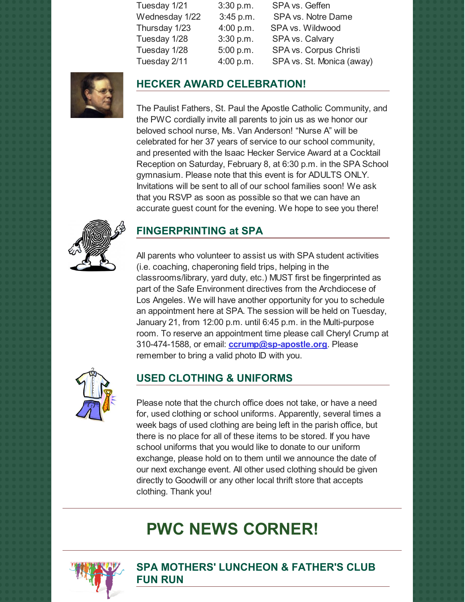| Tuesday 1/21   | 3:30 p.m. | SPA vs. Geffen            |
|----------------|-----------|---------------------------|
| Wednesday 1/22 | 3:45 p.m. | SPA vs. Notre Dame        |
| Thursday 1/23  | 4:00 p.m. | SPA vs. Wildwood          |
| Tuesday 1/28   | 3:30 p.m. | SPA vs. Calvary           |
| Tuesday 1/28   | 5:00 p.m. | SPA vs. Corpus Christi    |
| Tuesday 2/11   | 4:00 p.m. | SPA vs. St. Monica (away) |
|                |           |                           |



### **HECKER AWARD CELEBRATION!**

The Paulist Fathers, St. Paul the Apostle Catholic Community, and the PWC cordially invite all parents to join us as we honor our beloved school nurse, Ms. Van Anderson! "Nurse A" will be celebrated for her 37 years of service to our school community, and presented with the Isaac Hecker Service Award at a Cocktail Reception on Saturday, February 8, at 6:30 p.m. in the SPA School gymnasium. Please note that this event is for ADULTS ONLY. Invitations will be sent to all of our school families soon! We ask that you RSVP as soon as possible so that we can have an accurate guest count for the evening. We hope to see you there!



# **FINGERPRINTING at SPA**

All parents who volunteer to assist us with SPA student activities (i.e. coaching, chaperoning field trips, helping in the classrooms/library, yard duty, etc.) MUST first be fingerprinted as part of the Safe Environment directives from the Archdiocese of Los Angeles. We will have another opportunity for you to schedule an appointment here at SPA. The session will be held on Tuesday, January 21, from 12:00 p.m. until 6:45 p.m. in the Multi-purpose room. To reserve an appointment time please call Cheryl Crump at 310-474-1588, or email: **[ccrump@sp-apostle.org](mailto:ccrump@sp-apostle.org)**. Please remember to bring a valid photo ID with you.



#### **USED CLOTHING & UNIFORMS**

Please note that the church office does not take, or have a need for, used clothing or school uniforms. Apparently, several times a week bags of used clothing are being left in the parish office, but there is no place for all of these items to be stored. If you have school uniforms that you would like to donate to our uniform exchange, please hold on to them until we announce the date of our next exchange event. All other used clothing should be given directly to Goodwill or any other local thrift store that accepts clothing. Thank you!

# **PWC NEWS CORNER!**



**SPA MOTHERS' LUNCHEON & FATHER'S CLUB FUN RUN**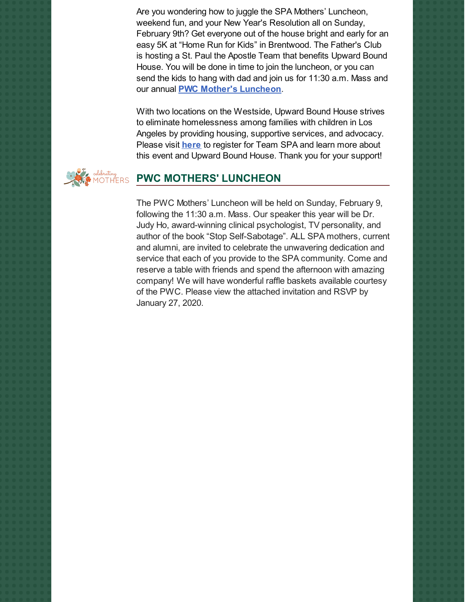Are you wondering how to juggle the SPA Mothers' Luncheon, weekend fun, and your New Year's Resolution all on Sunday, February 9th? Get everyone out of the house bright and early for an easy 5K at "Home Run for Kids" in Brentwood. The Father's Club is hosting a St. Paul the Apostle Team that benefits Upward Bound House. You will be done in time to join the luncheon, or you can send the kids to hang with dad and join us for 11:30 a.m. Mass and our annual **PWC Mother's [Luncheon](https://school.sp-apostle.org/wp-content/uploads/2020/01/PWC-Invite-for-website.pdf)**.

With two locations on the Westside, Upward Bound House strives to eliminate homelessness among families with children in Los Angeles by providing housing, supportive services, and advocacy. Please visit **[here](https://support.upwardboundhouse.org/team/275456)** to register for Team SPA and learn more about this event and Upward Bound House. Thank you for your support!



#### **PWC MOTHERS' LUNCHEON**

The PWC Mothers' Luncheon will be held on Sunday, February 9, following the 11:30 a.m. Mass. Our speaker this year will be Dr. Judy Ho, award-winning clinical psychologist, TV personality, and author of the book "Stop Self-Sabotage". ALL SPA mothers, current and alumni, are invited to celebrate the unwavering dedication and service that each of you provide to the SPA community. Come and reserve a table with friends and spend the afternoon with amazing company! We will have wonderful raffle baskets available courtesy of the PWC. Please view the attached invitation and RSVP by January 27, 2020.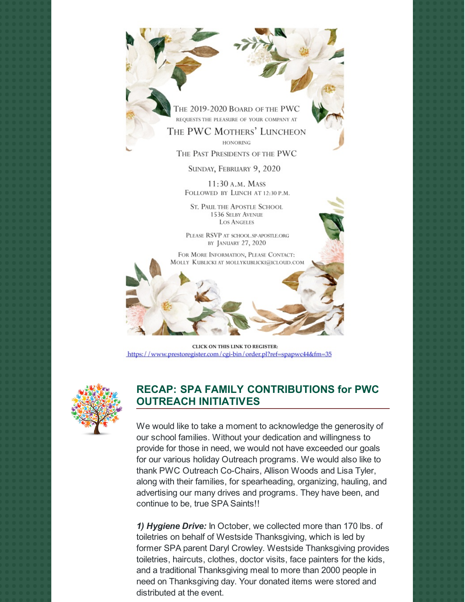

THE PWC MOTHERS' LUNCHEON **HONORING** 

THE PAST PRESIDENTS OF THE PWC

SUNDAY, FEBRUARY 9, 2020

11:30 A.M. MASS FOLLOWED BY LUNCH AT 12:30 P.M.

**ST. PAUL THE APOSTLE SCHOOL** 1536 SELBY AVENUE **LOS ANGELES** 

PLEASE RSVP AT SCHOOL.SP-APOSTLE.ORG BY JANUARY 27, 2020

FOR MORE INFORMATION, PLEASE CONTACT: MOLLY KUBLICKI AT MOLLYKUBLICKI@ICLOUD.COM

CLICK ON THIS LINK TO REGISTER: https://www.prestoregister.com/cgi-bin/order.pl?ref=spapwc44&fm=35



#### **RECAP: SPA FAMILY CONTRIBUTIONS for PWC OUTREACH INITIATIVES**

We would like to take a moment to acknowledge the generosity of our school families. Without your dedication and willingness to provide for those in need, we would not have exceeded our goals for our various holiday Outreach programs. We would also like to thank PWC Outreach Co-Chairs, Allison Woods and Lisa Tyler, along with their families, for spearheading, organizing, hauling, and advertising our many drives and programs. They have been, and continue to be, true SPA Saints!!

*1) Hygiene Drive:* In October, we collected more than 170 lbs. of toiletries on behalf of Westside Thanksgiving, which is led by former SPA parent Daryl Crowley. Westside Thanksgiving provides toiletries, haircuts, clothes, doctor visits, face painters for the kids, and a traditional Thanksgiving meal to more than 2000 people in need on Thanksgiving day. Your donated items were stored and distributed at the event.